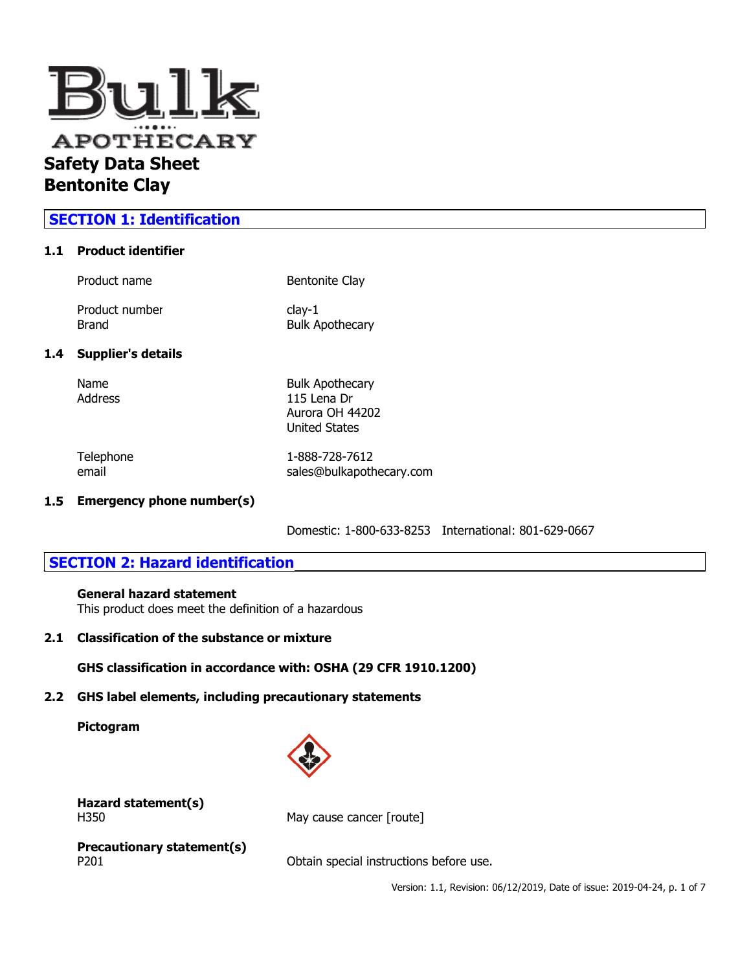

# **SECTION 1: Identification**

## **1.1 Product identifier**

| $clav-1$<br><b>Bulk Apothecary</b> |
|------------------------------------|
| Bentonite Clay                     |
|                                    |

# $1.4$

Name Bulk Apothecary Address 115 Lena Dr Aurora OH 44202 United States

Telephone 1-888-728-7612 email sales@bulkapothecary.com

## **1.5 Emergency phone number(s)**

Domestic: 1-800-633-8253 International: 801-629-0667

# **SECTION 2: Hazard identification**

## **General hazard statement**

This product does meet the definition of a hazardous

## **2.1 Classification of the substance or mixture**

## **GHS classification in accordance with: OSHA (29 CFR 1910.1200)**

## **2.2 GHS label elements, including precautionary statements**

## **Pictogram**



# **Hazard statement(s)**

H350 May cause cancer [route]

**Precautionary statement(s)**

P201 **Detain special instructions before use.** 

Version: 1.1, Revision: 06/12/2019, Date of issue: 2019-04-24, p. 1 of 7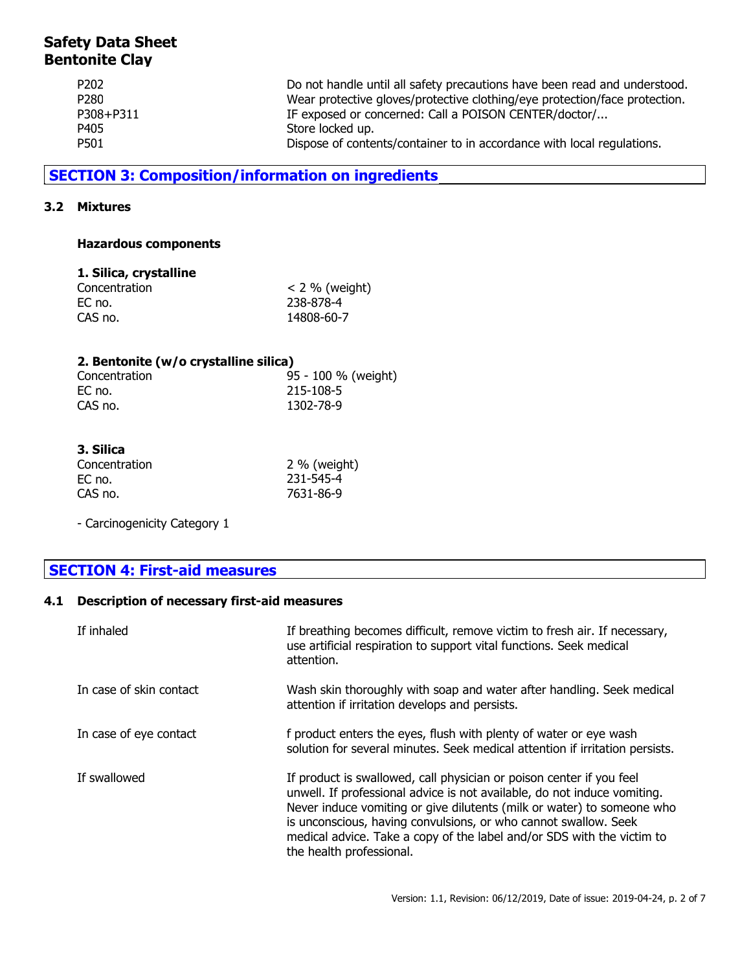| P <sub>202</sub> | Do not handle until all safety precautions have been read and understood.  |
|------------------|----------------------------------------------------------------------------|
| P280             | Wear protective gloves/protective clothing/eye protection/face protection. |
| P308+P311        | IF exposed or concerned: Call a POISON CENTER/doctor/                      |
| P405             | Store locked up.                                                           |
| P501             | Dispose of contents/container to in accordance with local regulations.     |

# **SECTION 3: Composition/information on ingredients**

## **3.2 Mixtures**

## **Hazardous components**

## **1. Silica, crystalline**

| $<$ 2 % (weight) |
|------------------|
| 238-878-4        |
| 14808-60-7       |
|                  |

## **2. Bentonite (w/o crystalline silica)**

| Concentration | 95 - 100 % (weight) |
|---------------|---------------------|
| EC no.        | 215-108-5           |
| CAS no.       | 1302-78-9           |

| 3. Silica     |                |
|---------------|----------------|
| Concentration | $2\%$ (weight) |
| EC no.        | 231-545-4      |
| CAS no.       | 7631-86-9      |

- Carcinogenicity Category 1

# **SECTION 4: First-aid measures**

## **4.1 Description of necessary first-aid measures**

| If inhaled              | If breathing becomes difficult, remove victim to fresh air. If necessary,<br>use artificial respiration to support vital functions. Seek medical<br>attention.                                                                                                                                                                                                                                      |
|-------------------------|-----------------------------------------------------------------------------------------------------------------------------------------------------------------------------------------------------------------------------------------------------------------------------------------------------------------------------------------------------------------------------------------------------|
| In case of skin contact | Wash skin thoroughly with soap and water after handling. Seek medical<br>attention if irritation develops and persists.                                                                                                                                                                                                                                                                             |
| In case of eye contact  | f product enters the eyes, flush with plenty of water or eye wash<br>solution for several minutes. Seek medical attention if irritation persists.                                                                                                                                                                                                                                                   |
| If swallowed            | If product is swallowed, call physician or poison center if you feel<br>unwell. If professional advice is not available, do not induce vomiting.<br>Never induce vomiting or give dilutents (milk or water) to someone who<br>is unconscious, having convulsions, or who cannot swallow. Seek<br>medical advice. Take a copy of the label and/or SDS with the victim to<br>the health professional. |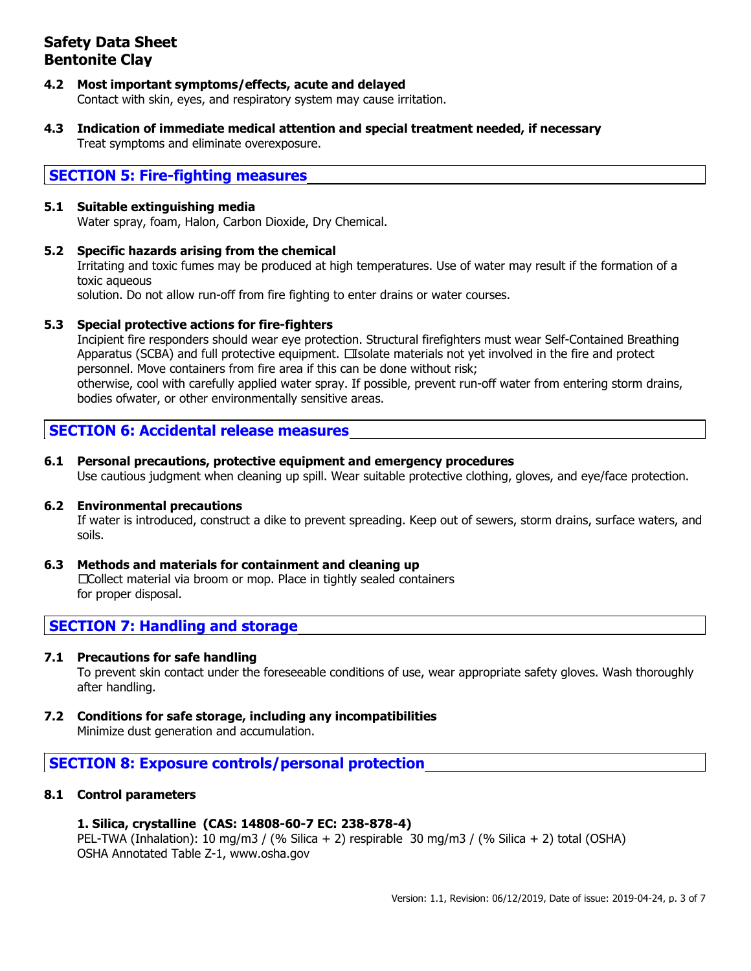- **4.2 Most important symptoms/effects, acute and delayed** Contact with skin, eyes, and respiratory system may cause irritation.
- **4.3 Indication of immediate medical attention and special treatment needed, if necessary** Treat symptoms and eliminate overexposure.

## **SECTION 5: Fire-fighting measures**

## **5.1 Suitable extinguishing media**

Water spray, foam, Halon, Carbon Dioxide, Dry Chemical.

## **5.2 Specific hazards arising from the chemical**

Irritating and toxic fumes may be produced at high temperatures. Use of water may result if the formation of a toxic aqueous

solution. Do not allow run-off from fire fighting to enter drains or water courses.

## **5.3 Special protective actions for fire-fighters**

Incipient fire responders should wear eye protection. Structural firefighters must wear Self-Contained Breathing Apparatus (SCBA) and full protective equipment. Isolate materials not yet involved in the fire and protect personnel. Move containers from fire area if this can be done without risk; otherwise, cool with carefully applied water spray. If possible, prevent run-off water from entering storm drains, bodies ofwater, or other environmentally sensitive areas.

## **SECTION 6: Accidental release measures**

## **6.1 Personal precautions, protective equipment and emergency procedures**

Use cautious judgment when cleaning up spill. Wear suitable protective clothing, gloves, and eye/face protection.

#### **6.2 Environmental precautions**

If water is introduced, construct a dike to prevent spreading. Keep out of sewers, storm drains, surface waters, and soils.

**6.3 Methods and materials for containment and cleaning up** Collect material via broom or mop. Place in tightly sealed containers for proper disposal.

# **SECTION 7: Handling and storage**

## **7.1 Precautions for safe handling**

To prevent skin contact under the foreseeable conditions of use, wear appropriate safety gloves. Wash thoroughly after handling.

**7.2 Conditions for safe storage, including any incompatibilities** Minimize dust generation and accumulation.

## **SECTION 8: Exposure controls/personal protection**

## **8.1 Control parameters**

## **1. Silica, crystalline (CAS: 14808-60-7 EC: 238-878-4)**

PEL-TWA (Inhalation): 10 mg/m3 / (% Silica + 2) respirable 30 mg/m3 / (% Silica + 2) total (OSHA) OSHA Annotated Table Z-1, www.osha.gov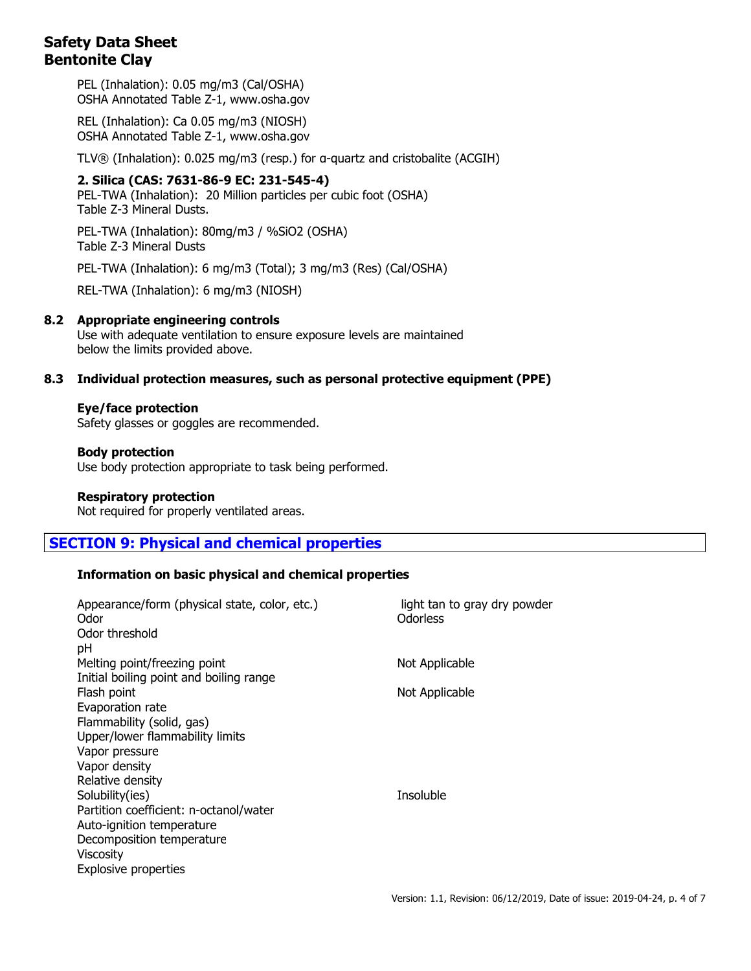PEL (Inhalation): 0.05 mg/m3 (Cal/OSHA) OSHA Annotated Table Z-1, www.osha.gov

REL (Inhalation): Ca 0.05 mg/m3 (NIOSH) OSHA Annotated Table Z-1, www.osha.gov

TLV® (Inhalation): 0.025 mg/m3 (resp.) for α-quartz and cristobalite (ACGIH)

**2. Silica (CAS: 7631-86-9 EC: 231-545-4)** PEL-TWA (Inhalation): 20 Million particles per cubic foot (OSHA) Table Z-3 Mineral Dusts.

PEL-TWA (Inhalation): 80mg/m3 / %SiO2 (OSHA) Table Z-3 Mineral Dusts

PEL-TWA (Inhalation): 6 mg/m3 (Total); 3 mg/m3 (Res) (Cal/OSHA)

REL-TWA (Inhalation): 6 mg/m3 (NIOSH)

## **8.2 Appropriate engineering controls**

Use with adequate ventilation to ensure exposure levels are maintained below the limits provided above.

#### **8.3 Individual protection measures, such as personal protective equipment (PPE)**

#### **Eye/face protection**

Safety glasses or goggles are recommended.

#### **Body protection**

Use body protection appropriate to task being performed.

#### **Respiratory protection**

Not required for properly ventilated areas.

## **SECTION 9: Physical and chemical properties**

## **Information on basic physical and chemical properties**

| Appearance/form (physical state, color, etc.)<br>Odor | light tan to gray dry powder<br>Odorless |
|-------------------------------------------------------|------------------------------------------|
| Odor threshold                                        |                                          |
| рH                                                    |                                          |
| Melting point/freezing point                          | Not Applicable                           |
| Initial boiling point and boiling range               |                                          |
| Flash point                                           | Not Applicable                           |
| Evaporation rate                                      |                                          |
| Flammability (solid, gas)                             |                                          |
| Upper/lower flammability limits                       |                                          |
| Vapor pressure                                        |                                          |
| Vapor density                                         |                                          |
| Relative density                                      |                                          |
| Solubility(ies)                                       | Insoluble                                |
| Partition coefficient: n-octanol/water                |                                          |
| Auto-ignition temperature                             |                                          |
| Decomposition temperature                             |                                          |
| <b>Viscosity</b>                                      |                                          |
| Explosive properties                                  |                                          |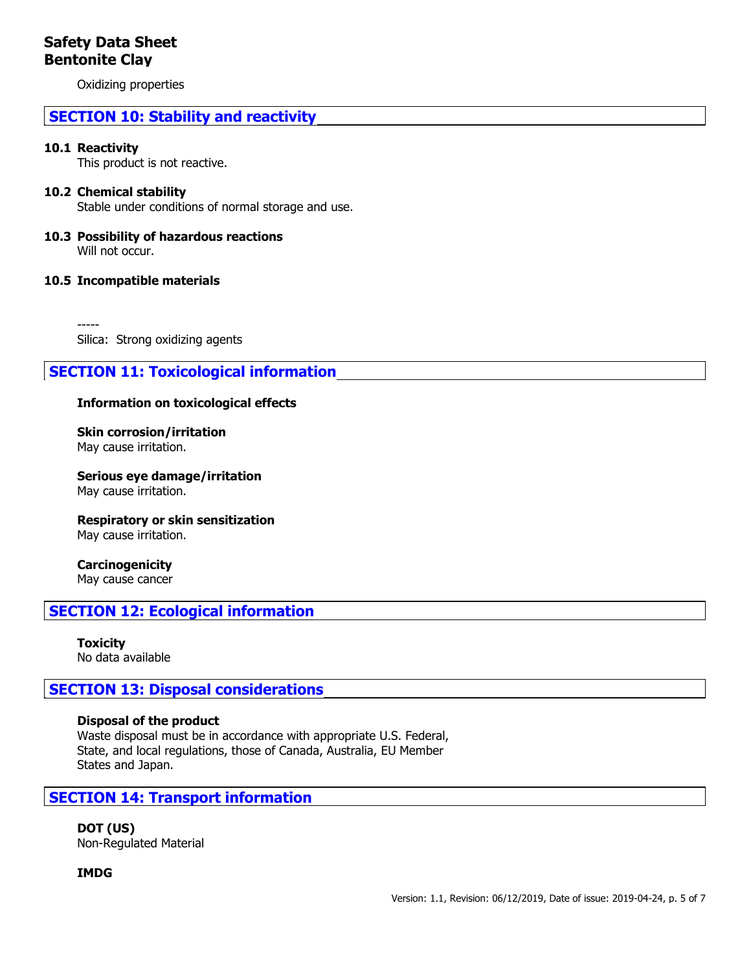Oxidizing properties

# **SECTION 10: Stability and reactivity**

## **10.1 Reactivity**

This product is not reactive.

## **10.2 Chemical stability**

Stable under conditions of normal storage and use.

#### **10.3 Possibility of hazardous reactions** Will not occur.

## **10.5 Incompatible materials**

----- Silica: Strong oxidizing agents

# **SECTION 11: Toxicological information**

## **Information on toxicological effects**

**Skin corrosion/irritation** May cause irritation.

**Serious eye damage/irritation** May cause irritation.

**Respiratory or skin sensitization** May cause irritation.

## **Carcinogenicity**

May cause cancer

## **SECTION 12: Ecological information**

**Toxicity** No data available

## **SECTION 13: Disposal considerations**

#### **Disposal of the product**

Waste disposal must be in accordance with appropriate U.S. Federal, State, and local regulations, those of Canada, Australia, EU Member States and Japan.

## **SECTION 14: Transport information**

**DOT (US)** Non-Regulated Material

**IMDG**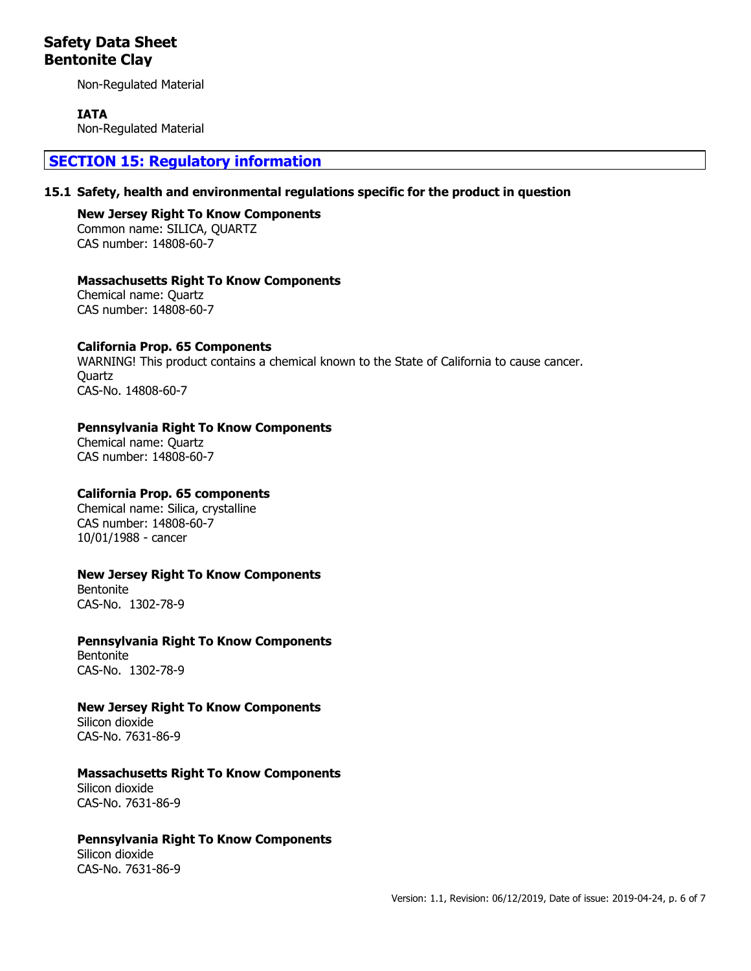Non-Regulated Material

## **IATA**

Non-Regulated Material

## **SECTION 15: Regulatory information**

#### **15.1 Safety, health and environmental regulations specific for the product in question**

**New Jersey Right To Know Components** Common name: SILICA, QUARTZ CAS number: 14808-60-7

## **Massachusetts Right To Know Components**

Chemical name: Quartz CAS number: 14808-60-7

## **California Prop. 65 Components**

WARNING! This product contains a chemical known to the State of California to cause cancer. **Ouartz** CAS-No. 14808-60-7

## **Pennsylvania Right To Know Components**

Chemical name: Quartz CAS number: 14808-60-7

## **California Prop. 65 components**

Chemical name: Silica, crystalline CAS number: 14808-60-7 10/01/1988 - cancer

## **New Jersey Right To Know Components**

Bentonite CAS-No. 1302-78-9

## **Pennsylvania Right To Know Components**

Bentonite CAS-No. 1302-78-9

## **New Jersey Right To Know Components**

Silicon dioxide CAS-No. 7631-86-9

## **Massachusetts Right To Know Components**

Silicon dioxide CAS-No. 7631-86-9

## **Pennsylvania Right To Know Components**

Silicon dioxide CAS-No. 7631-86-9